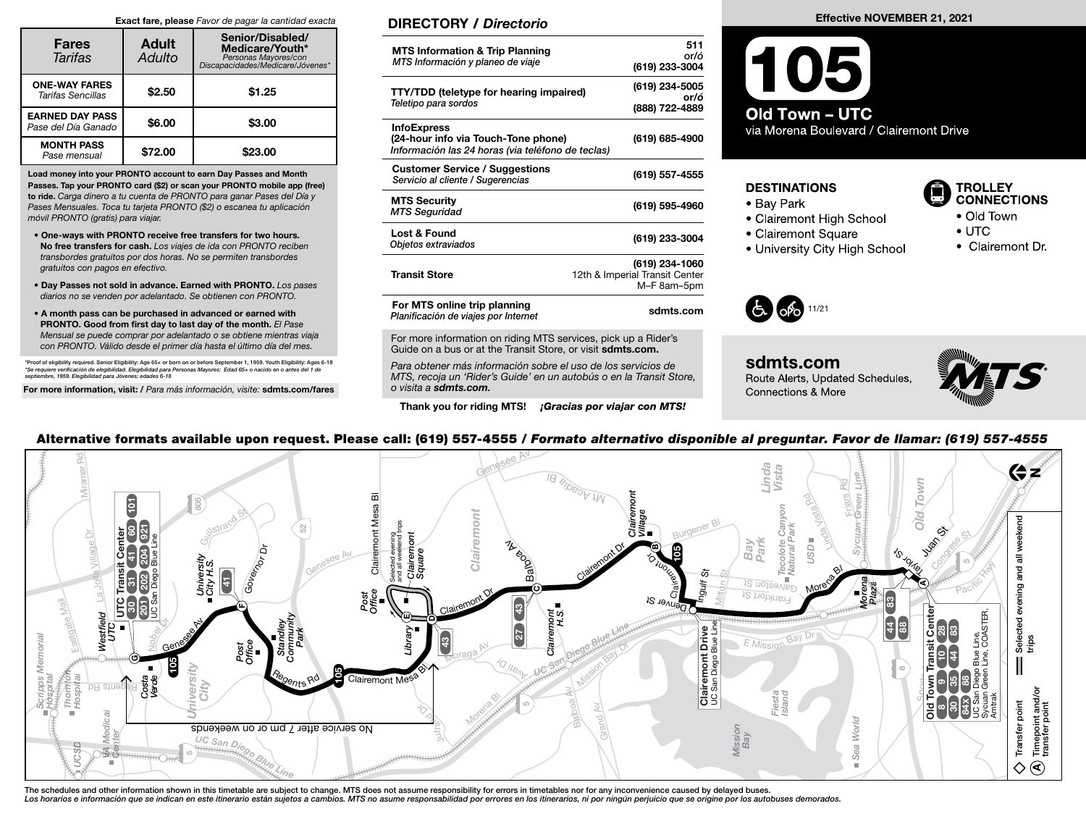#### Exact fare, please Favor de pagar la cantidad exacta

| <b>Fares</b><br><b>Tarifas</b>                | <b>Adult</b><br>Adulto | Senior/Disabled/<br>Medicare/Youth*<br>Personas Mayores/con<br>*biscapacidades/Medicare/Jóvenes |
|-----------------------------------------------|------------------------|-------------------------------------------------------------------------------------------------|
| <b>ONE-WAY FARES</b><br>Tarifas Sencillas     | \$2.50                 | \$1.25                                                                                          |
| <b>EARNED DAY PASS</b><br>Pase del Día Ganado | \$6.00                 | \$3.00                                                                                          |
| <b>MONTH PASS</b><br>Pase mensual             | \$72.00                | \$23.00                                                                                         |

Load money into your PRONTO account to earn Day Passes and Month Passes. Tap your PRONTO card (\$2) or scan your PRONTO mobile app (free) to ride. Carga dinero a tu cuenta de PRONTO para ganar Pases del Día y Pases Mensuales. Toca tu tarjeta PRONTO (\$2) o escanea tu aplicación móvil PRONTO (gratis) para viajar.

- One-ways with PRONTO receive free transfers for two hours. No free transfers for cash. Los viajes de ida con PRONTO reciben transbordes gratuitos por dos horas. No se permiten transbordes gratuitos con pagos en efectivo.
- Day Passes not sold in advance. Earned with PRONTO. Los pases diarios no se venden por adelantado. Se obtienen con PRONTO.
- A month pass can be purchased in advanced or earned with PRONTO. Good from first day to last day of the month. El Pase Mensual se puede comprar por adelantado o se obtiene mientras viaja con PRONTO. Válido desde el primer día hasta el último día del mes.

\*Proof of eligibility required. Senior Eligibility: Age 65+ or born on or before September 1, 1959. Youth Eligibility: Ages 6-18<br>\*Se requiere verificación de elegibilidad. Elegibilidad para Personas Mayores: Edad 65+ o nac

For more information, visit: / Para más información, visite: sdmts.com/fares

### DIRECTORY / Directorio

| <b>MTS Information &amp; Trip Planning</b><br>MTS Información y planeo de viaje                                | 511<br>or/ó<br>(619) 233-3004                                   |
|----------------------------------------------------------------------------------------------------------------|-----------------------------------------------------------------|
| <b>TTY/TDD (teletype for hearing impaired)</b><br>Teletipo para sordos                                         | (619) 234-5005<br>or/ó<br>(888) 722-4889                        |
| <b>InfoExpress</b><br>(24-hour info via Touch-Tone phone)<br>Información las 24 horas (via teléfono de teclas) | (619) 685-4900                                                  |
| <b>Customer Service / Suggestions</b><br>Servicio al cliente / Sugerencias                                     | (619) 557-4555                                                  |
| <b>MTS Security</b><br><b>MTS Seguridad</b>                                                                    | (619) 595-4960                                                  |
| Lost & Found<br>Objetos extraviados                                                                            | (619) 233-3004                                                  |
| <b>Transit Store</b>                                                                                           | (619) 234-1060<br>12th & Imperial Transit Center<br>M-F 8am-5pm |
| For MTS online trip planning<br>Planificación de viajes por Internet                                           | sdmts.com                                                       |

For more information on riding MTS services, pick up a Rider's Guide on a bus or at the Transit Store, or visit sdmts.com.

Para obtener más información sobre el uso de los servicios de MTS, recoja un 'Rider's Guide' en un autobús o en la Transit Store, o visita a sdmts.com.

Thank you for riding MTS! *¡Gracias por viajar con MTS!* 



via Morena Boulevard / Clairemont Drive

#### **DESTINATIONS**

- Bay Park
- Clairemont High School
- Clairemont Square
- 
- University City High School



- Old Town
- $\bullet$  UTC
- Clairemont Dr



sdmts.com Route Alerts, Updated Schedules, Connections & More



### Alternative formats available upon request. Please call: (619) 557-4555 / Formato alternativo disponible al preguntar. Favor de llamar: (619) 557-4555

| Mirar                                                                                                              | 46)<br>Mt Acadia BI                                                                          | Linda<br>Vista<br>₩<br>m.<br>요<br><b>U/NO</b>                                                                                                                                 |
|--------------------------------------------------------------------------------------------------------------------|----------------------------------------------------------------------------------------------|-------------------------------------------------------------------------------------------------------------------------------------------------------------------------------|
| ē<br>$\mathbf{\tilde{g}}$<br>52<br>ă                                                                               | ᆏ<br>ğ<br>$\widetilde{\phantom{a}}$<br>hont Me<br>et<br>et<br>R                              | 8<br>So<br><b>Exend</b>                                                                                                                                                       |
| t Center<br>41 60<br>village<br>$\frac{3}{10}$<br>University<br>City H.S.<br>Transit<br>Governo                    | <sub>2</sub><br>airen<br><b>NASONE</b><br>နွ<br>Claire<br>Clair<br>Squa<br><b>HIOUE</b><br>ぷ | <b>Lugar</b><br>tk<br>E<br>S)c<br>Tecolote<br>Vatural F<br>Bay<br>USD<br>e<br>G<br>′⊘`<br>᠊᠊ᢛ<br>≁o<br>짙<br>-¥f                                                               |
| $\frac{2}{5}$<br>$\pm$<br>g.e<br>ěĘ<br>ð<br>ន្ត្រី<br>န္က<br>5<br>ieid                                             | Renver <sub>St</sub><br>mont<br>H.S.                                                         | eze <sub>ld</sub><br>Moreni<br>eain<br>bac)<br><b>IS HOTANGY</b><br>ြို့<br>혼<br>STER,                                                                                        |
| Westf<br>UTC<br>Memoria<br>Post<br>Office<br>$\frac{35}{25}$                                                       | t Drive<br>≻.<br>Clair                                                                       | $\overline{\mathbf{g}}$ $\mathbf{g}$ $\mathbf{g}$<br>$\frac{4}{3}$<br>Select<br>trips<br>Diego Blue Line,<br>Green Line, COA<br>Bay<br>Transit<br>E Mission<br>$\frac{d}{dx}$ |
| U<br>Tegents Rd<br>Costa<br>Verde<br>ipps<br>spita<br>$\sigma$<br>ļ<br>omt<br>òĘ<br>Phis Rc<br>O<br>≳.<br>%옷<br>たえ | Clairemont I<br>UC San Diego B<br>Clairemont Mes <sup>8</sup>                                | $\infty$<br><b>Town</b><br>$\circ$<br>Fiesta<br>Island<br><u>ျမည္ဆ</u> ြင္ဆန္<br>$\overline{\mathbf{c}}$                                                                      |
| $\overline{\sigma}$<br>Ő<br>≤<br>No service after 7 pm or on weekends<br>$\sim$ UC San Dieg $\sim$<br>Ħ<br>c<br>m  |                                                                                              | Timepoint and/d<br>transfer point<br>Transfer point<br>$\frac{1}{2}$<br>World<br>Mission<br>Bay                                                                               |
|                                                                                                                    |                                                                                              | $S$ ea<br>$\circledast$<br>◇                                                                                                                                                  |

The schedules and other information shown in this timetable are subject to change. MTS does not assume responsibility for errors in timetables nor for any inconvenience caused by delayed buses. Los horarios e información que se indican en este itinerario están sujetos a cambios. MTS no asume responsabilidad por errores en los itinerarios, ni por ningún perjuicio que se origine por los autobuses demorados.